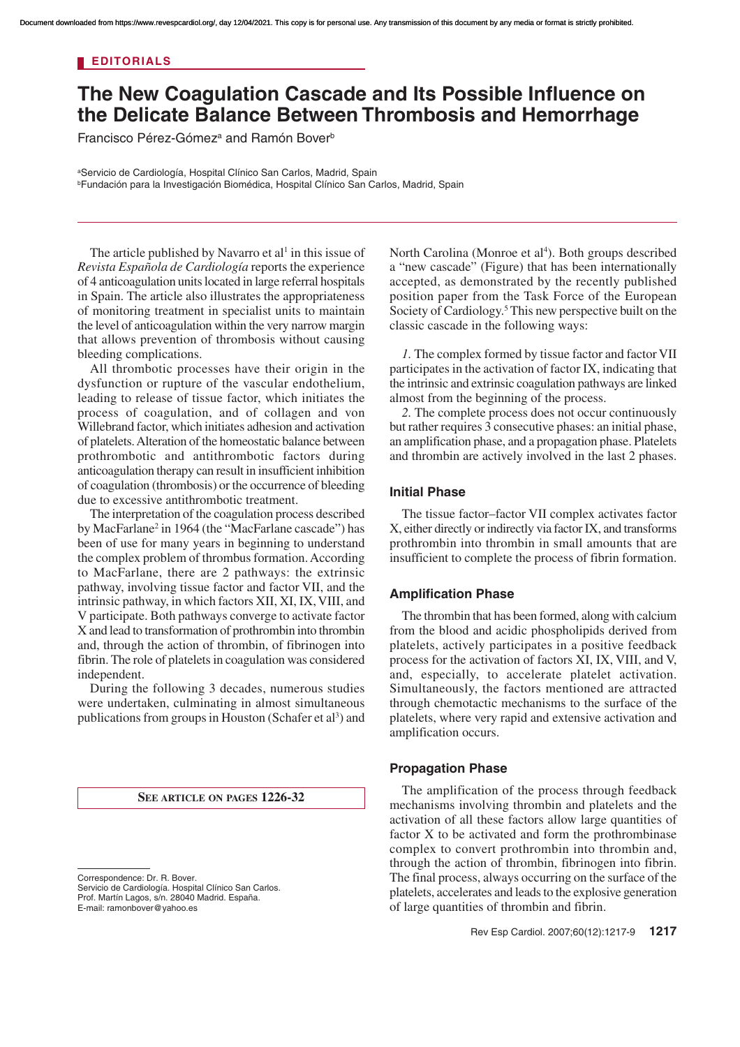## **EDITORIALS**

# **The New Coagulation Cascade and Its Possible Influence on the Delicate Balance Between Thrombosis and Hemorrhage**

Francisco Pérez-Gómez<sup>a</sup> and Ramón Bover<sup>b</sup>

<sup>a</sup>Servicio de Cardiología, Hospital Clínico San Carlos, Madrid, Spain <sup>b</sup>Fundación para la Investigación Biomédica, Hospital Clínico San Carlos, Madrid, Spain

The article published by Navarro et al<sup>1</sup> in this issue of *Revista Española de Cardiología* reports the experience of 4 anticoagulation units located in large referral hospitals in Spain. The article also illustrates the appropriateness of monitoring treatment in specialist units to maintain the level of anticoagulation within the very narrow margin that allows prevention of thrombosis without causing bleeding complications.

All thrombotic processes have their origin in the dysfunction or rupture of the vascular endothelium, leading to release of tissue factor, which initiates the process of coagulation, and of collagen and von Willebrand factor, which initiates adhesion and activation of platelets. Alteration of the homeostatic balance between prothrombotic and antithrombotic factors during anticoagulation therapy can result in insufficient inhibition of coagulation (thrombosis) or the occurrence of bleeding due to excessive antithrombotic treatment.

The interpretation of the coagulation process described by MacFarlane<sup>2</sup> in 1964 (the "MacFarlane cascade") has been of use for many years in beginning to understand the complex problem of thrombus formation. According to MacFarlane, there are 2 pathways: the extrinsic pathway, involving tissue factor and factor VII, and the intrinsic pathway, in which factors XII, XI, IX, VIII, and V participate. Both pathways converge to activate factor X and lead to transformation of prothrombin into thrombin and, through the action of thrombin, of fibrinogen into fibrin. The role of platelets in coagulation was considered independent.

During the following 3 decades, numerous studies were undertaken, culminating in almost simultaneous publications from groups in Houston (Schafer et al<sup>3</sup>) and

#### **SEE ARTICLE ON PAGES 1226-32**

Servicio de Cardiología. Hospital Clínico San Carlos. Prof. Martín Lagos, s/n. 28040 Madrid. España.

E-mail: ramonbover@yahoo.es

North Carolina (Monroe et al<sup>4</sup>). Both groups described a "new cascade" (Figure) that has been internationally accepted, as demonstrated by the recently published position paper from the Task Force of the European Society of Cardiology.<sup>5</sup> This new perspective built on the classic cascade in the following ways:

*1.* The complex formed by tissue factor and factor VII participates in the activation of factor IX, indicating that the intrinsic and extrinsic coagulation pathways are linked almost from the beginning of the process.

*2.* The complete process does not occur continuously but rather requires 3 consecutive phases: an initial phase, an amplification phase, and a propagation phase. Platelets and thrombin are actively involved in the last 2 phases.

#### **Initial Phase**

The tissue factor–factor VII complex activates factor X, either directly or indirectly via factor IX, and transforms prothrombin into thrombin in small amounts that are insufficient to complete the process of fibrin formation.

#### **Amplification Phase**

The thrombin that has been formed, along with calcium from the blood and acidic phospholipids derived from platelets, actively participates in a positive feedback process for the activation of factors XI, IX, VIII, and V, and, especially, to accelerate platelet activation. Simultaneously, the factors mentioned are attracted through chemotactic mechanisms to the surface of the platelets, where very rapid and extensive activation and amplification occurs.

#### **Propagation Phase**

The amplification of the process through feedback mechanisms involving thrombin and platelets and the activation of all these factors allow large quantities of factor X to be activated and form the prothrombinase complex to convert prothrombin into thrombin and, through the action of thrombin, fibrinogen into fibrin. The final process, always occurring on the surface of the platelets, accelerates and leads to the explosive generation of large quantities of thrombin and fibrin.

Correspondence: Dr. R. Bover.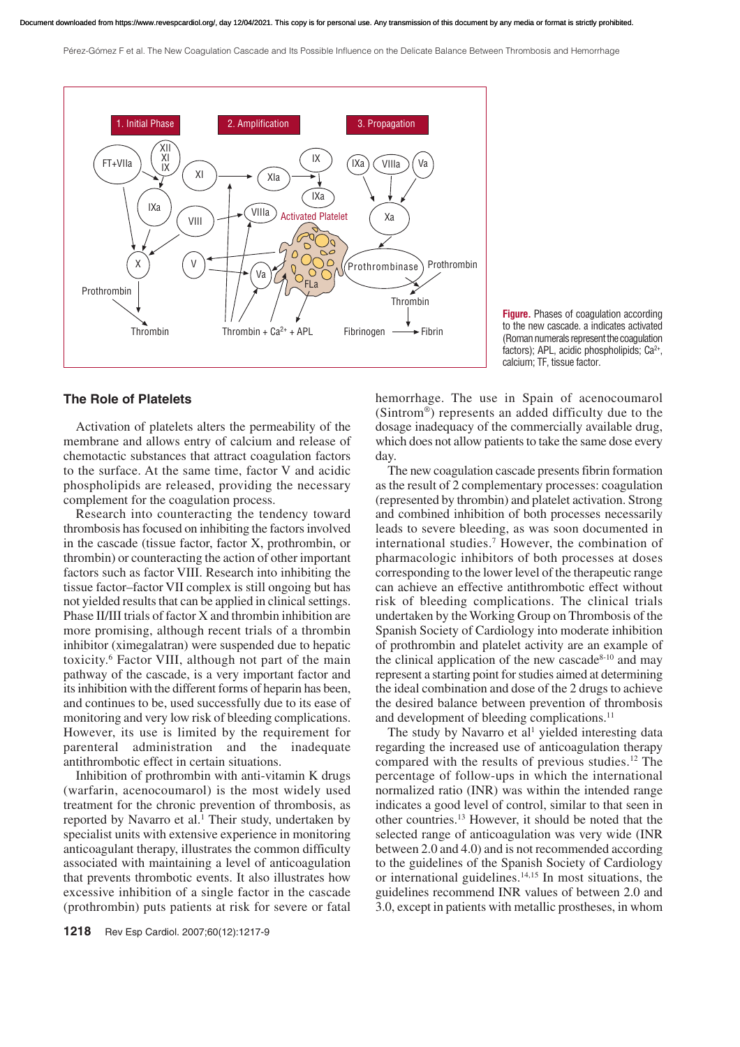Pérez-Gómez F et al. The New Coagulation Cascade and Its Possible Influence on the Delicate Balance Between Thrombosis and Hemorrhage



**Figure.** Phases of coagulation according to the new cascade. a indicates activated (Roman numerals represent the coagulation factors); APL, acidic phospholipids; Ca<sup>2+</sup>, calcium; TF, tissue factor.

### **The Role of Platelets**

Activation of platelets alters the permeability of the membrane and allows entry of calcium and release of chemotactic substances that attract coagulation factors to the surface. At the same time, factor V and acidic phospholipids are released, providing the necessary complement for the coagulation process.

Research into counteracting the tendency toward thrombosis has focused on inhibiting the factors involved in the cascade (tissue factor, factor X, prothrombin, or thrombin) or counteracting the action of other important factors such as factor VIII. Research into inhibiting the tissue factor–factor VII complex is still ongoing but has not yielded results that can be applied in clinical settings. Phase II/III trials of factor X and thrombin inhibition are more promising, although recent trials of a thrombin inhibitor (ximegalatran) were suspended due to hepatic toxicity.<sup>6</sup> Factor VIII, although not part of the main pathway of the cascade, is a very important factor and its inhibition with the different forms of heparin has been, and continues to be, used successfully due to its ease of monitoring and very low risk of bleeding complications. However, its use is limited by the requirement for parenteral administration and the inadequate antithrombotic effect in certain situations.

Inhibition of prothrombin with anti-vitamin K drugs (warfarin, acenocoumarol) is the most widely used treatment for the chronic prevention of thrombosis, as reported by Navarro et al.<sup>1</sup> Their study, undertaken by specialist units with extensive experience in monitoring anticoagulant therapy, illustrates the common difficulty associated with maintaining a level of anticoagulation that prevents thrombotic events. It also illustrates how excessive inhibition of a single factor in the cascade (prothrombin) puts patients at risk for severe or fatal

hemorrhage. The use in Spain of acenocoumarol (Sintrom®) represents an added difficulty due to the dosage inadequacy of the commercially available drug, which does not allow patients to take the same dose every day.

The new coagulation cascade presents fibrin formation as the result of 2 complementary processes: coagulation (represented by thrombin) and platelet activation. Strong and combined inhibition of both processes necessarily leads to severe bleeding, as was soon documented in international studies.<sup>7</sup> However, the combination of pharmacologic inhibitors of both processes at doses corresponding to the lower level of the therapeutic range can achieve an effective antithrombotic effect without risk of bleeding complications. The clinical trials undertaken by the Working Group on Thrombosis of the Spanish Society of Cardiology into moderate inhibition of prothrombin and platelet activity are an example of the clinical application of the new cascade $8-10$  and may represent a starting point for studies aimed at determining the ideal combination and dose of the 2 drugs to achieve the desired balance between prevention of thrombosis and development of bleeding complications.<sup>11</sup>

The study by Navarro et al<sup>1</sup> yielded interesting data regarding the increased use of anticoagulation therapy compared with the results of previous studies.<sup>12</sup> The percentage of follow-ups in which the international normalized ratio (INR) was within the intended range indicates a good level of control, similar to that seen in other countries.<sup>13</sup> However, it should be noted that the selected range of anticoagulation was very wide (INR between 2.0 and 4.0) and is not recommended according to the guidelines of the Spanish Society of Cardiology or international guidelines.<sup>14,15</sup> In most situations, the guidelines recommend INR values of between 2.0 and 3.0, except in patients with metallic prostheses, in whom